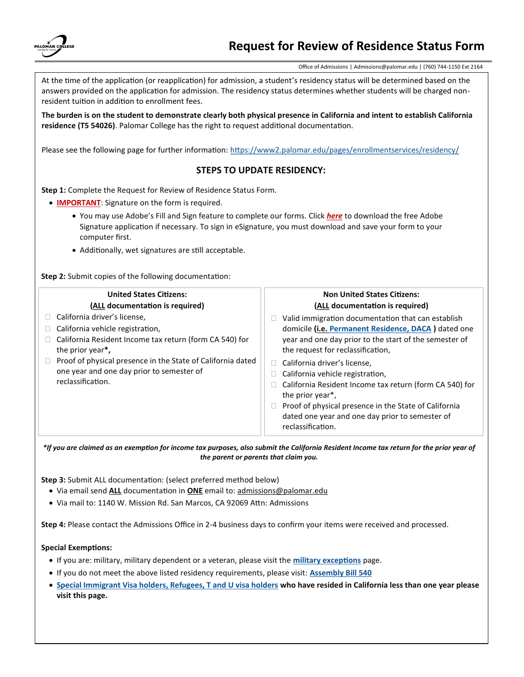

Office of Admissions | Admissions@palomar.edu | (760) 744-1150 Ext 2164

At the time of the application (or reapplication) for admission, a student's residency status will be determined based on the answers provided on the application for admission. The residency status determines whether students will be charged nonresident tuition in addition to enrollment fees.

**The burden is on the student to demonstrate clearly both physical presence in California and intent to establish California residence (T5 54026)**. Palomar College has the right to request additional documentation.

Please see the following page for further information: <https://www2.palomar.edu/pages/enrollmentservices/residency/>

# **STEPS TO UPDATE RESIDENCY:**

**Step 1:** Complete the Request for Review of Residence Status Form.

- **IMPORTANT**: Signature on the form is required.
	- You may use Adobe's Fill and Sign feature to complete our forms. Click *[here](https://www.adobe.com/acrobat/mobile/fill-sign-pdfs.html)* to download the free Adobe Signature application if necessary. To sign in eSignature, you must download and save your form to your computer first.
	- Additionally, wet signatures are still acceptable.

**Step 2:** Submit copies of the following documentation:

| <b>United States Citizens:</b>                                                                                                                                                                                                                                                   | <b>Non United States Citizens:</b>                                                                                                                                                                                                                                                                                                                                                                                                                                                                  |
|----------------------------------------------------------------------------------------------------------------------------------------------------------------------------------------------------------------------------------------------------------------------------------|-----------------------------------------------------------------------------------------------------------------------------------------------------------------------------------------------------------------------------------------------------------------------------------------------------------------------------------------------------------------------------------------------------------------------------------------------------------------------------------------------------|
| (ALL documentation is required)                                                                                                                                                                                                                                                  | (ALL documentation is required)                                                                                                                                                                                                                                                                                                                                                                                                                                                                     |
| California driver's license,<br>California vehicle registration,<br>California Resident Income tax return (form CA 540) for<br>the prior year*,<br>Proof of physical presence in the State of California dated<br>one year and one day prior to semester of<br>reclassification. | Valid immigration documentation that can establish<br>domicile (i.e. Permanent Residence, DACA) dated one<br>year and one day prior to the start of the semester of<br>the request for reclassification,<br>$\Box$ California driver's license,<br>California vehicle registration,<br>California Resident Income tax return (form CA 540) for<br>the prior year*,<br>Proof of physical presence in the State of California<br>dated one year and one day prior to semester of<br>reclassification. |

*\*If you are claimed as an exemption for income tax purposes, also submit the California Resident Income tax return for the prior year of the parent or parents that claim you.*

**Step 3:** Submit ALL documentation: (select preferred method below)

- Via email send **ALL** documentation in **ONE** email to: admissions@palomar.edu
- Via mail to: 1140 W. Mission Rd. San Marcos, CA 92069 Attn: Admissions

**Step 4:** Please contact the Admissions Office in 2-4 business days to confirm your items were received and processed.

#### **Special Exemptions:**

- If you are: military, military dependent or a veteran, please visit the **[military exceptions](https://www2.palomar.edu/pages/enrollmentservices/residency/military-exception/)** page.
- If you do not meet the above listed residency requirements, please visit: **[Assembly Bill 540](https://www2.palomar.edu/pages/enrollmentservices/residency/assembly-bill-540-ab540/)**
- **[Special Immigrant Visa holders, Refugees, T and U visa holders](https://www2.palomar.edu/pages/enrollmentservices/residency/special-immigrant-visa-holders-and-refugee-students/) who have resided in California less than one year please visit this page.**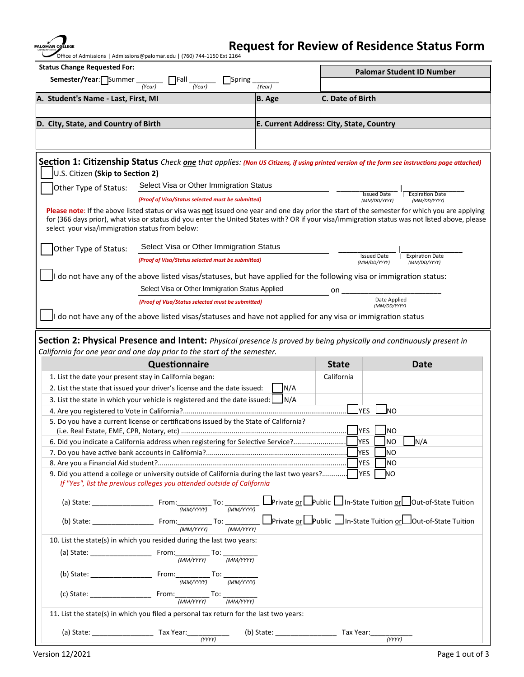PALO

# **Request for Review of Residence Status Form**

Office of Admissions | Admissions@palomar.edu | (760) 744-1150 Ext 2164

| <b>Status Change Requested For:</b>                                   |                                                                                                                                                 |                                          | <b>Palomar Student ID Number</b>   |                                        |  |  |  |
|-----------------------------------------------------------------------|-------------------------------------------------------------------------------------------------------------------------------------------------|------------------------------------------|------------------------------------|----------------------------------------|--|--|--|
| Semester/Year: Summer<br>   Fall<br><b>Spring</b><br>(Year)<br>(Year) |                                                                                                                                                 | (Year)                                   |                                    |                                        |  |  |  |
| A. Student's Name - Last, First, MI                                   |                                                                                                                                                 | <b>B.</b> Age                            | C. Date of Birth                   |                                        |  |  |  |
|                                                                       |                                                                                                                                                 |                                          |                                    |                                        |  |  |  |
| D. City, State, and Country of Birth                                  |                                                                                                                                                 | E. Current Address: City, State, Country |                                    |                                        |  |  |  |
|                                                                       |                                                                                                                                                 |                                          |                                    |                                        |  |  |  |
|                                                                       |                                                                                                                                                 |                                          |                                    |                                        |  |  |  |
|                                                                       | Section 1: Citizenship Status Check one that applies: (Non US Citizens, if using printed version of the form see instructions page attached)    |                                          |                                    |                                        |  |  |  |
| U.S. Citizen (Skip to Section 2)                                      |                                                                                                                                                 |                                          |                                    |                                        |  |  |  |
| Other Type of Status:                                                 | Select Visa or Other Immigration Status                                                                                                         |                                          |                                    |                                        |  |  |  |
|                                                                       | (Proof of Visa/Status selected must be submitted)                                                                                               |                                          | <b>Issued Date</b>                 | <b>Expiration Date</b>                 |  |  |  |
|                                                                       | Please note: If the above listed status or visa was not issued one year and one day prior the start of the semester for which you are applying  |                                          | (MM/DD/YYYY)                       | (MM/DD/YYYY)                           |  |  |  |
| select your visa/immigration status from below:                       | for (366 days prior), what visa or status did you enter the United States with? OR if your visa/immigration status was not listed above, please |                                          |                                    |                                        |  |  |  |
| Other Type of Status:                                                 | Select Visa or Other Immigration Status                                                                                                         |                                          |                                    |                                        |  |  |  |
|                                                                       | (Proof of Visa/Status selected must be submitted)                                                                                               |                                          | <b>Issued Date</b><br>(MM/DD/YYYY) | <b>Expiration Date</b><br>(MM/DD/YYYY) |  |  |  |
|                                                                       | I do not have any of the above listed visas/statuses, but have applied for the following visa or immigration status:                            |                                          |                                    |                                        |  |  |  |
|                                                                       | Select Visa or Other Immigration Status Applied                                                                                                 |                                          |                                    |                                        |  |  |  |
|                                                                       | (Proof of Visa/Status selected must be submitted)                                                                                               |                                          |                                    | on<br>Date Applied                     |  |  |  |
|                                                                       |                                                                                                                                                 |                                          |                                    | (MM/DD/YYYY)                           |  |  |  |
|                                                                       | I do not have any of the above listed visas/statuses and have not applied for any visa or immigration status                                    |                                          |                                    |                                        |  |  |  |
|                                                                       |                                                                                                                                                 |                                          |                                    |                                        |  |  |  |
|                                                                       | Section 2: Physical Presence and Intent: Physical presence is proved by being physically and continuously present in                            |                                          |                                    |                                        |  |  |  |
|                                                                       |                                                                                                                                                 |                                          |                                    |                                        |  |  |  |
|                                                                       | California for one year and one day prior to the start of the semester.                                                                         |                                          |                                    |                                        |  |  |  |
|                                                                       | Questionnaire                                                                                                                                   |                                          | <b>State</b>                       | Date                                   |  |  |  |
| 1. List the date your present stay in California began:               |                                                                                                                                                 |                                          | California                         |                                        |  |  |  |
|                                                                       | 2. List the state that issued your driver's license and the date issued:                                                                        | N/A                                      |                                    |                                        |  |  |  |
|                                                                       | 3. List the state in which your vehicle is registered and the date issued: $\Box$ N/A                                                           |                                          |                                    | lno                                    |  |  |  |
|                                                                       | 5. Do you have a current license or certifications issued by the State of California?                                                           |                                          | <b>I</b> YES                       |                                        |  |  |  |
|                                                                       |                                                                                                                                                 |                                          | <b>YES</b>                         | NO)                                    |  |  |  |
|                                                                       | 6. Did you indicate a California address when registering for Selective Service?.                                                               |                                          | <b>YES</b>                         | ]NO<br>$\Box$ N/A                      |  |  |  |
|                                                                       |                                                                                                                                                 |                                          | YES                                | INO                                    |  |  |  |
|                                                                       |                                                                                                                                                 |                                          | <b>YES</b>                         | ΙNΟ                                    |  |  |  |
|                                                                       | 9. Did you attend a college or university outside of California during the last two years?                                                      |                                          | <b>YES</b>                         | ΝO                                     |  |  |  |
|                                                                       | If "Yes", list the previous colleges you attended outside of California                                                                         |                                          |                                    |                                        |  |  |  |
|                                                                       |                                                                                                                                                 |                                          |                                    |                                        |  |  |  |
|                                                                       |                                                                                                                                                 |                                          |                                    |                                        |  |  |  |
|                                                                       |                                                                                                                                                 |                                          |                                    |                                        |  |  |  |
|                                                                       |                                                                                                                                                 |                                          |                                    |                                        |  |  |  |
|                                                                       | 10. List the state(s) in which you resided during the last two years:                                                                           |                                          |                                    |                                        |  |  |  |
|                                                                       |                                                                                                                                                 |                                          |                                    |                                        |  |  |  |
|                                                                       |                                                                                                                                                 |                                          |                                    |                                        |  |  |  |
|                                                                       |                                                                                                                                                 |                                          |                                    |                                        |  |  |  |
|                                                                       |                                                                                                                                                 |                                          |                                    |                                        |  |  |  |
|                                                                       | 11. List the state(s) in which you filed a personal tax return for the last two years:                                                          |                                          |                                    |                                        |  |  |  |
|                                                                       |                                                                                                                                                 |                                          |                                    |                                        |  |  |  |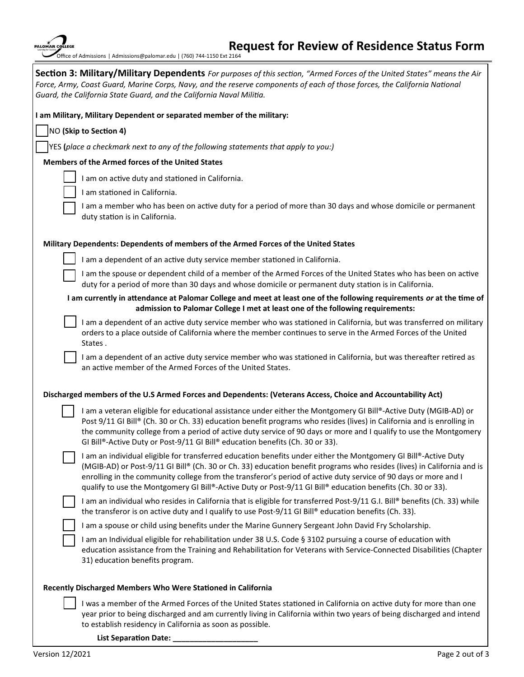| PALOMAR COLLEGE<br><b>Learning for Success</b><br>Office of Admissions |
|------------------------------------------------------------------------|
| litar<br>Section 3:                                                    |

## **Request for Review of Residence Status Form** | Admissions@palomar.edu | (760) 744-1150 Ext 2164

**Section 3: Military/Military Dependents** *For purposes of this section, "Armed Forces of the United States" means the Air Force, Army, Coast Guard, Marine Corps, Navy, and the reserve components of each of those forces, the California National Guard, the California State Guard, and the California Naval Militia.*  **I am Military, Military Dependent or separated member of the military:** 

NO **(Skip to Section 4)**

YES **(***place a checkmark next to any of the following statements that apply to you:)*

# **Members of the Armed forces of the United States**

I am on active duty and stationed in California.

I am stationed in California.

 I am a member who has been on active duty for a period of more than 30 days and whose domicile or permanent duty station is in California.

## **Military Dependents: Dependents of members of the Armed Forces of the United States**

I am a dependent of an active duty service member stationed in California.

 I am the spouse or dependent child of a member of the Armed Forces of the United States who has been on active duty for a period of more than 30 days and whose domicile or permanent duty station is in California.

## **I am currently in attendance at Palomar College and meet at least one of the following requirements** *or* **at the time of admission to Palomar College I met at least one of the following requirements:**

 I am a dependent of an active duty service member who was stationed in California, but was transferred on military orders to a place outside of California where the member continues to serve in the Armed Forces of the United States .

 I am a dependent of an active duty service member who was stationed in California, but was thereafter retired as an active member of the Armed Forces of the United States.

#### **Discharged members of the U.S Armed Forces and Dependents: (Veterans Access, Choice and Accountability Act)**

I am a veteran eligible for educational assistance under either the Montgomery GI Bill®-Active Duty (MGIB-AD) or Post 9/11 GI Bill® (Ch. 30 or Ch. 33) education benefit programs who resides (lives) in California and is enrolling in the community college from a period of active duty service of 90 days or more and I qualify to use the Montgomery GI Bill®-Active Duty or Post-9/11 GI Bill® education benefits (Ch. 30 or 33).

I am an individual eligible for transferred education benefits under either the Montgomery GI Bill®-Active Duty (MGIB-AD) or Post-9/11 GI Bill® (Ch. 30 or Ch. 33) education benefit programs who resides (lives) in California and is enrolling in the community college from the transferor's period of active duty service of 90 days or more and I qualify to use the Montgomery GI Bill®-Active Duty or Post-9/11 GI Bill® education benefits (Ch. 30 or 33).

I am an individual who resides in California that is eligible for transferred Post-9/11 G.I. Bill® benefits (Ch. 33) while the transferor is on active duty and I qualify to use Post-9/11 GI Bill® education benefits (Ch. 33).

I am a spouse or child using benefits under the Marine Gunnery Sergeant John David Fry Scholarship.

I am an Individual eligible for rehabilitation under 38 U.S. Code § 3102 pursuing a course of education with education assistance from the Training and Rehabilitation for Veterans with Service-Connected Disabilities (Chapter 31) education benefits program.

#### **Recently Discharged Members Who Were Stationed in California**

 I was a member of the Armed Forces of the United States stationed in California on active duty for more than one year prior to being discharged and am currently living in California within two years of being discharged and intend to establish residency in California as soon as possible.

List Separation Date: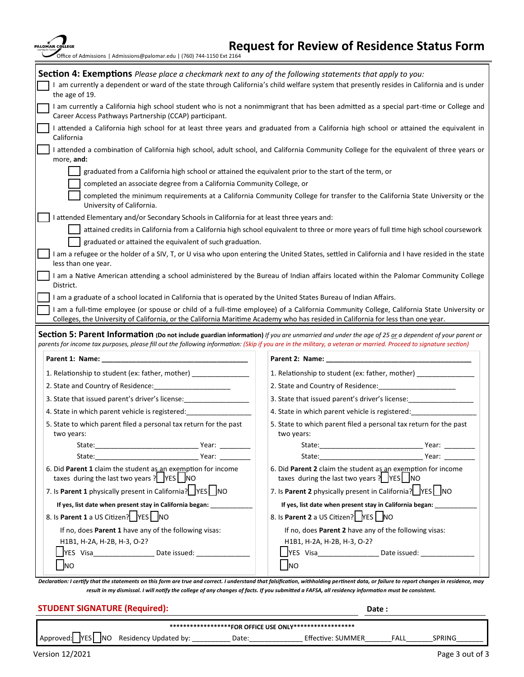| PALOMAR COLLEGE<br>Office of Admissions   Admissions@palomar.edu   (760) 744-1150 Ext 2164                                     | <b>Request for Review of Residence Status Form</b>                                                                                                                                                                                                                                                                     |
|--------------------------------------------------------------------------------------------------------------------------------|------------------------------------------------------------------------------------------------------------------------------------------------------------------------------------------------------------------------------------------------------------------------------------------------------------------------|
| the age of 19.                                                                                                                 | <b>Section 4: Exemptions</b> Please place a checkmark next to any of the following statements that apply to you:<br>I am currently a dependent or ward of the state through California's child welfare system that presently resides in California and is under                                                        |
| Career Access Pathways Partnership (CCAP) participant.                                                                         | I am currently a California high school student who is not a nonimmigrant that has been admitted as a special part-time or College and                                                                                                                                                                                 |
| California                                                                                                                     | I attended a California high school for at least three years and graduated from a California high school or attained the equivalent in                                                                                                                                                                                 |
| more, and:                                                                                                                     | I attended a combination of California high school, adult school, and California Community College for the equivalent of three years or                                                                                                                                                                                |
| completed an associate degree from a California Community College, or<br>University of California.                             | graduated from a California high school or attained the equivalent prior to the start of the term, or<br>completed the minimum requirements at a California Community College for transfer to the California State University or the                                                                                   |
| attended Elementary and/or Secondary Schools in California for at least three years and:                                       |                                                                                                                                                                                                                                                                                                                        |
| graduated or attained the equivalent of such graduation.                                                                       | attained credits in California from a California high school equivalent to three or more years of full time high school coursework                                                                                                                                                                                     |
| less than one year.                                                                                                            | I am a refugee or the holder of a SIV, T, or U visa who upon entering the United States, settled in California and I have resided in the state                                                                                                                                                                         |
|                                                                                                                                | I am a Native American attending a school administered by the Bureau of Indian affairs located within the Palomar Community College                                                                                                                                                                                    |
| District.<br>I am a graduate of a school located in California that is operated by the United States Bureau of Indian Affairs. |                                                                                                                                                                                                                                                                                                                        |
|                                                                                                                                | I am a full-time employee (or spouse or child of a full-time employee) of a California Community College, California State University or<br>Colleges, the University of California, or the California Maritime Academy who has resided in California for less than one year.                                           |
|                                                                                                                                | Section 5: Parent Information (Do not include guardian information) If you are unmarried and under the age of 25 or a dependent of your parent or<br>parents for income tax purposes, please fill out the following information: (Skip if you are in the military, a veteran or married. Proceed to signature section) |
| Parent 1: Name:                                                                                                                | Parent 2: Name:                                                                                                                                                                                                                                                                                                        |
| 1. Relationship to student (ex: father, mother) ______________                                                                 | 1. Relationship to student (ex: father, mother) ____________                                                                                                                                                                                                                                                           |
| 2. State and Country of Residence:                                                                                             |                                                                                                                                                                                                                                                                                                                        |
| 3. State that issued parent's driver's license:                                                                                | 3. State that issued parent's driver's license:                                                                                                                                                                                                                                                                        |
| 4. State in which parent vehicle is registered:                                                                                | 4. State in which parent vehicle is registered:                                                                                                                                                                                                                                                                        |
| 5. State to which parent filed a personal tax return for the past<br>two years:                                                | 5. State to which parent filed a personal tax return for the past<br>two years:                                                                                                                                                                                                                                        |
|                                                                                                                                |                                                                                                                                                                                                                                                                                                                        |
|                                                                                                                                | State: Year: Year:                                                                                                                                                                                                                                                                                                     |
| 6. Did Parent 1 claim the student as an exemption for income<br>taxes during the last two years ?   YES   NO                   | 6. Did Parent 2 claim the student as an exemption for income<br>taxes during the last two years ?   YES   NO                                                                                                                                                                                                           |
| 7. Is Parent 1 physically present in California?   YES   NO                                                                    | 7. Is Parent 2 physically present in California?   YES   NO                                                                                                                                                                                                                                                            |
| If yes, list date when present stay in California began: _____________                                                         | If yes, list date when present stay in California began:                                                                                                                                                                                                                                                               |
| 8. Is Parent 1 a US Citizen?   YES   NO                                                                                        | 8. Is Parent 2 a US Citizen?   YES   NO                                                                                                                                                                                                                                                                                |
| If no, does Parent 1 have any of the following visas:                                                                          | If no, does Parent 2 have any of the following visas:                                                                                                                                                                                                                                                                  |
| H1B1, H-2A, H-2B, H-3, O-2?                                                                                                    | H1B1, H-2A, H-2B, H-3, O-2?                                                                                                                                                                                                                                                                                            |
|                                                                                                                                |                                                                                                                                                                                                                                                                                                                        |
| Ino                                                                                                                            | <b>I</b> NO                                                                                                                                                                                                                                                                                                            |
|                                                                                                                                | Declaration: I certify that the statements on this form are true and correct. Lunderstand that falsification, withholding pertinent data, or failure to report changes in residence, may                                                                                                                               |

*Declaration: I certify that the statements on this form are true and correct. I understand that falsification, withholding pertinent data, or failure to report changes in residence, may result in my dismissal. I will notify the college of any changes of facts. If you submitted a FAFSA, all residency information must be consistent.* 

| <b>STUDENT SIGNATURE (Required):</b>                     |                                        |       |                   | Date: |                 |  |  |
|----------------------------------------------------------|----------------------------------------|-------|-------------------|-------|-----------------|--|--|
| ******************FOR OFFICE USE ONLY******************* |                                        |       |                   |       |                 |  |  |
|                                                          | Approved: YES NO Residency Updated by: | Date: | Effective: SUMMER | FALL  | SPRING          |  |  |
| Version 12/2021                                          |                                        |       |                   |       | Page 3 out of 3 |  |  |